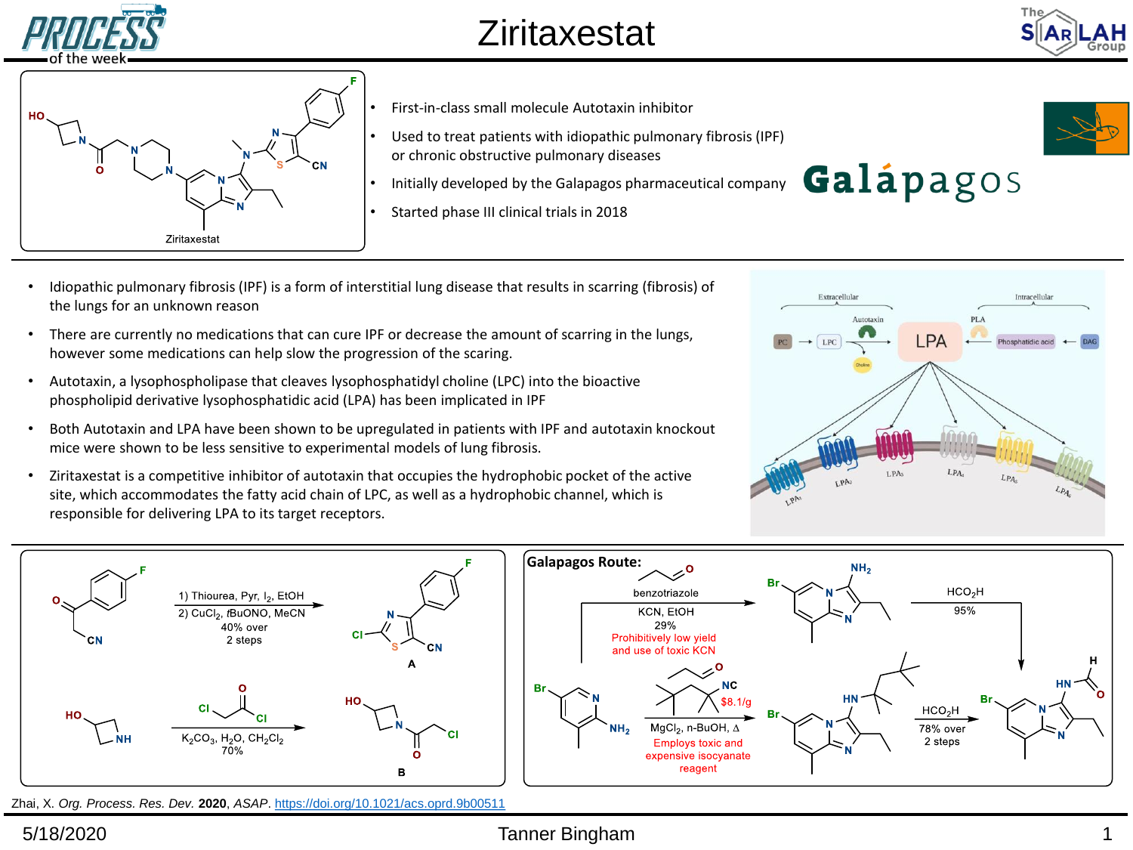



- First-in-class small molecule Autotaxin inhibitor
- Used to treat patients with idiopathic pulmonary fibrosis (IPF) or chronic obstructive pulmonary diseases
- Initially developed by the Galapagos pharmaceutical company
- Started phase III clinical trials in 2018



- Idiopathic pulmonary fibrosis (IPF) is a form of interstitial lung disease that results in scarring (fibrosis) of the lungs for an unknown reason
- There are currently no medications that can cure IPF or decrease the amount of scarring in the lungs, however some medications can help slow the progression of the scaring.
- Autotaxin, a lysophospholipase that cleaves lysophosphatidyl choline (LPC) into the bioactive phospholipid derivative lysophosphatidic acid (LPA) has been implicated in IPF
- Both Autotaxin and LPA have been shown to be upregulated in patients with IPF and autotaxin knockout mice were shown to be less sensitive to experimental models of lung fibrosis.
- Ziritaxestat is a competitive inhibitor of autotaxin that occupies the hydrophobic pocket of the active site, which accommodates the fatty acid chain of LPC, as well as a hydrophobic channel, which is responsible for delivering LPA to its target receptors.





Zhai, X. *Org. Process. Res. Dev.* **2020**, *ASAP*. <https://doi.org/10.1021/acs.oprd.9b00511>

## 5/18/2020 Tanner Bingham 1